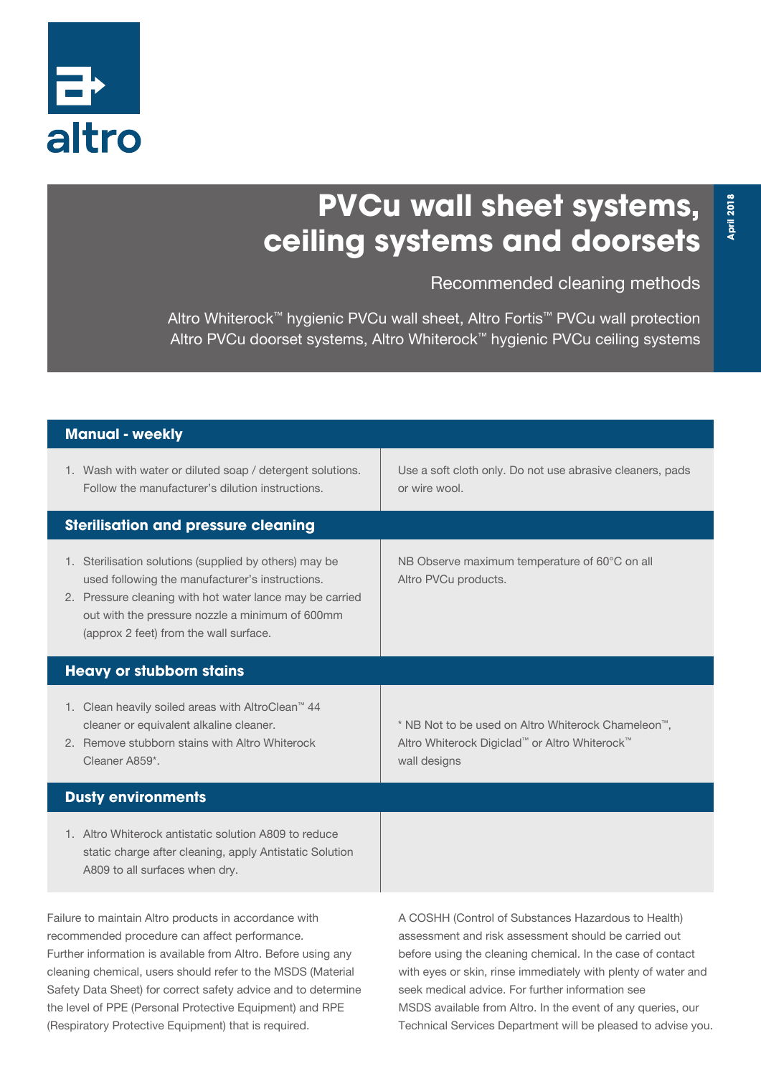

## **PVCu wall sheet systems, ceiling systems and doorsets**

Recommended cleaning methods

Altro Whiterock™ hygienic PVCu wall sheet, Altro Fortis™ PVCu wall protection Altro PVCu doorset systems, Altro Whiterock™ hygienic PVCu ceiling systems

| Manual - weekly                                                                                                                                                                                                                                                                                                                                                                                                             |                                                                                                                                                                                                                                                                                                                                                                                                                               |
|-----------------------------------------------------------------------------------------------------------------------------------------------------------------------------------------------------------------------------------------------------------------------------------------------------------------------------------------------------------------------------------------------------------------------------|-------------------------------------------------------------------------------------------------------------------------------------------------------------------------------------------------------------------------------------------------------------------------------------------------------------------------------------------------------------------------------------------------------------------------------|
| 1. Wash with water or diluted soap / detergent solutions.<br>Follow the manufacturer's dilution instructions.                                                                                                                                                                                                                                                                                                               | Use a soft cloth only. Do not use abrasive cleaners, pads<br>or wire wool.                                                                                                                                                                                                                                                                                                                                                    |
| <b>Sterilisation and pressure cleaning</b>                                                                                                                                                                                                                                                                                                                                                                                  |                                                                                                                                                                                                                                                                                                                                                                                                                               |
| 1. Sterilisation solutions (supplied by others) may be<br>used following the manufacturer's instructions.<br>2. Pressure cleaning with hot water lance may be carried<br>out with the pressure nozzle a minimum of 600mm<br>(approx 2 feet) from the wall surface.                                                                                                                                                          | NB Observe maximum temperature of 60°C on all<br>Altro PVCu products.                                                                                                                                                                                                                                                                                                                                                         |
| <b>Heavy or stubborn stains</b>                                                                                                                                                                                                                                                                                                                                                                                             |                                                                                                                                                                                                                                                                                                                                                                                                                               |
| 1. Clean heavily soiled areas with AltroClean <sup>™</sup> 44<br>cleaner or equivalent alkaline cleaner.<br>2. Remove stubborn stains with Altro Whiterock<br>Cleaner A859*.                                                                                                                                                                                                                                                | * NB Not to be used on Altro Whiterock Chameleon <sup>™</sup> ,<br>Altro Whiterock Digiclad™ or Altro Whiterock™<br>wall designs                                                                                                                                                                                                                                                                                              |
| <b>Dusty environments</b>                                                                                                                                                                                                                                                                                                                                                                                                   |                                                                                                                                                                                                                                                                                                                                                                                                                               |
| 1. Altro Whiterock antistatic solution A809 to reduce<br>static charge after cleaning, apply Antistatic Solution<br>A809 to all surfaces when dry.                                                                                                                                                                                                                                                                          |                                                                                                                                                                                                                                                                                                                                                                                                                               |
| Failure to maintain Altro products in accordance with<br>recommended procedure can affect performance.<br>Further information is available from Altro. Before using any<br>cleaning chemical, users should refer to the MSDS (Material<br>Safety Data Sheet) for correct safety advice and to determine<br>the level of PPE (Personal Protective Equipment) and RPE<br>(Respiratory Protective Equipment) that is required. | A COSHH (Control of Substances Hazardous to Health)<br>assessment and risk assessment should be carried out<br>before using the cleaning chemical. In the case of contact<br>with eyes or skin, rinse immediately with plenty of water and<br>seek medical advice. For further information see<br>MSDS available from Altro. In the event of any queries, our<br>Technical Services Department will be pleased to advise you. |